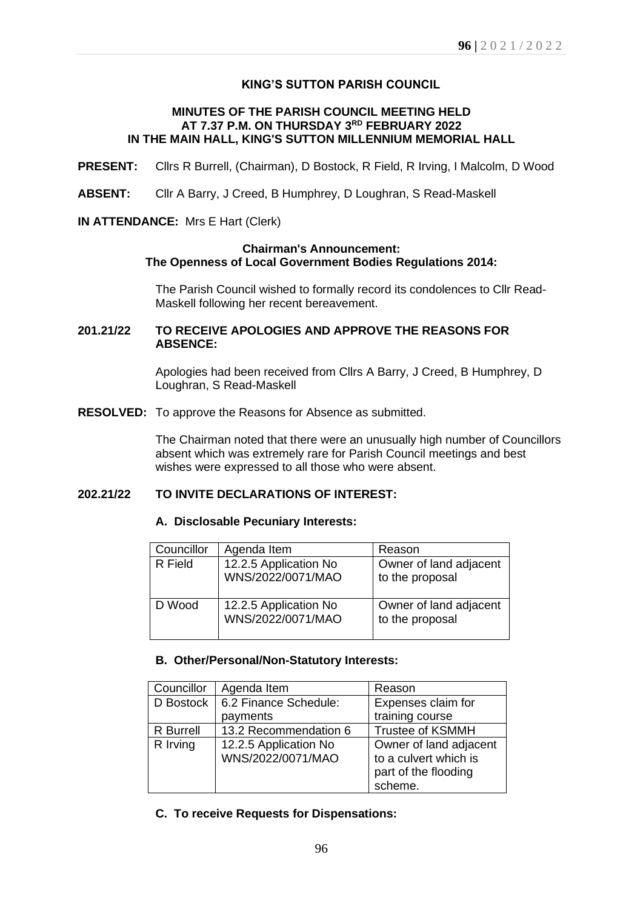# **KING'S SUTTON PARISH COUNCIL**

## **MINUTES OF THE PARISH COUNCIL MEETING HELD AT 7.37 P.M. ON THURSDAY 3 RD FEBRUARY 2022 IN THE MAIN HALL, KING'S SUTTON MILLENNIUM MEMORIAL HALL**

- **PRESENT:** Cllrs R Burrell, (Chairman), D Bostock, R Field, R Irving, I Malcolm, D Wood
- **ABSENT:** Cllr A Barry, J Creed, B Humphrey, D Loughran, S Read-Maskell

# **IN ATTENDANCE:** Mrs E Hart (Clerk)

### **Chairman's Announcement: The Openness of Local Government Bodies Regulations 2014:**

The Parish Council wished to formally record its condolences to Cllr Read-Maskell following her recent bereavement.

# **201.21/22 TO RECEIVE APOLOGIES AND APPROVE THE REASONS FOR ABSENCE:**

Apologies had been received from Cllrs A Barry, J Creed, B Humphrey, D Loughran, S Read-Maskell

**RESOLVED:** To approve the Reasons for Absence as submitted.

The Chairman noted that there were an unusually high number of Councillors absent which was extremely rare for Parish Council meetings and best wishes were expressed to all those who were absent.

## **202.21/22 TO INVITE DECLARATIONS OF INTEREST:**

#### **A. Disclosable Pecuniary Interests:**

| Councillor | Agenda Item                                | Reason                                    |
|------------|--------------------------------------------|-------------------------------------------|
| R Field    | 12.2.5 Application No<br>WNS/2022/0071/MAO | Owner of land adjacent<br>to the proposal |
| D Wood     | 12.2.5 Application No<br>WNS/2022/0071/MAO | Owner of land adjacent<br>to the proposal |

#### **B. Other/Personal/Non-Statutory Interests:**

| Councillor       | Agenda Item                                | Reason                                                                  |
|------------------|--------------------------------------------|-------------------------------------------------------------------------|
| D Bostock        | 6.2 Finance Schedule:                      | Expenses claim for                                                      |
|                  | payments                                   | training course                                                         |
| <b>R</b> Burrell | 13.2 Recommendation 6                      | <b>Trustee of KSMMH</b>                                                 |
| R Irving         | 12.2.5 Application No<br>WNS/2022/0071/MAO | Owner of land adjacent<br>to a culvert which is<br>part of the flooding |
|                  |                                            | scheme.                                                                 |

**C. To receive Requests for Dispensations:**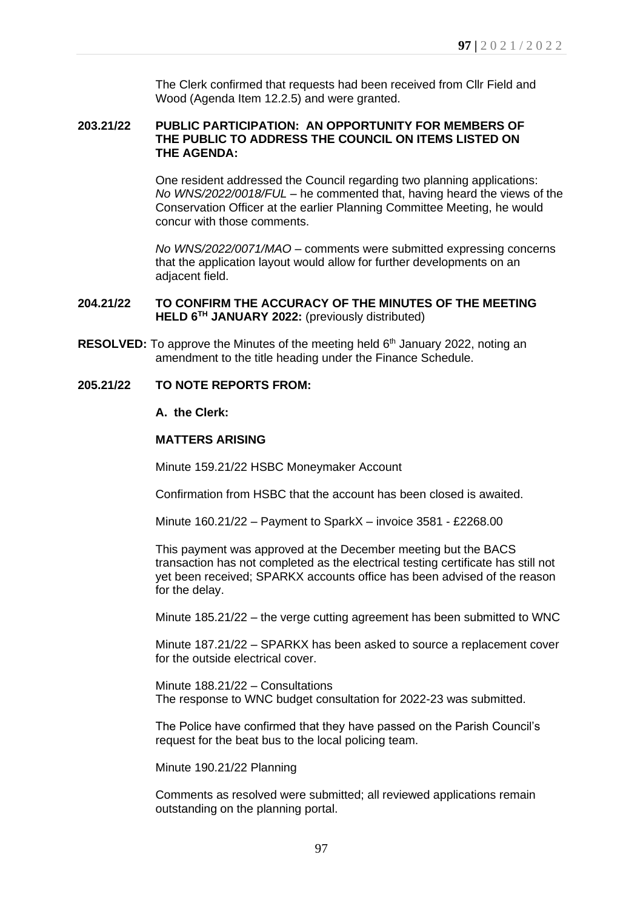The Clerk confirmed that requests had been received from Cllr Field and Wood (Agenda Item 12.2.5) and were granted.

# **203.21/22 PUBLIC PARTICIPATION: AN OPPORTUNITY FOR MEMBERS OF THE PUBLIC TO ADDRESS THE COUNCIL ON ITEMS LISTED ON THE AGENDA:**

One resident addressed the Council regarding two planning applications: *No WNS/2022/0018/FUL* – he commented that, having heard the views of the Conservation Officer at the earlier Planning Committee Meeting, he would concur with those comments.

*No WNS/2022/0071/MAO* – comments were submitted expressing concerns that the application layout would allow for further developments on an adjacent field.

# **204.21/22 TO CONFIRM THE ACCURACY OF THE MINUTES OF THE MEETING HELD 6 TH JANUARY 2022:** (previously distributed)

**RESOLVED:** To approve the Minutes of the meeting held 6<sup>th</sup> January 2022, noting an amendment to the title heading under the Finance Schedule.

## **205.21/22 TO NOTE REPORTS FROM:**

#### **A. the Clerk:**

## **MATTERS ARISING**

Minute 159.21/22 HSBC Moneymaker Account

Confirmation from HSBC that the account has been closed is awaited.

Minute 160.21/22 – Payment to SparkX – invoice 3581 - £2268.00

This payment was approved at the December meeting but the BACS transaction has not completed as the electrical testing certificate has still not yet been received; SPARKX accounts office has been advised of the reason for the delay.

Minute 185.21/22 – the verge cutting agreement has been submitted to WNC

Minute 187.21/22 – SPARKX has been asked to source a replacement cover for the outside electrical cover.

Minute 188.21/22 – Consultations The response to WNC budget consultation for 2022-23 was submitted.

The Police have confirmed that they have passed on the Parish Council's request for the beat bus to the local policing team.

Minute 190.21/22 Planning

Comments as resolved were submitted; all reviewed applications remain outstanding on the planning portal.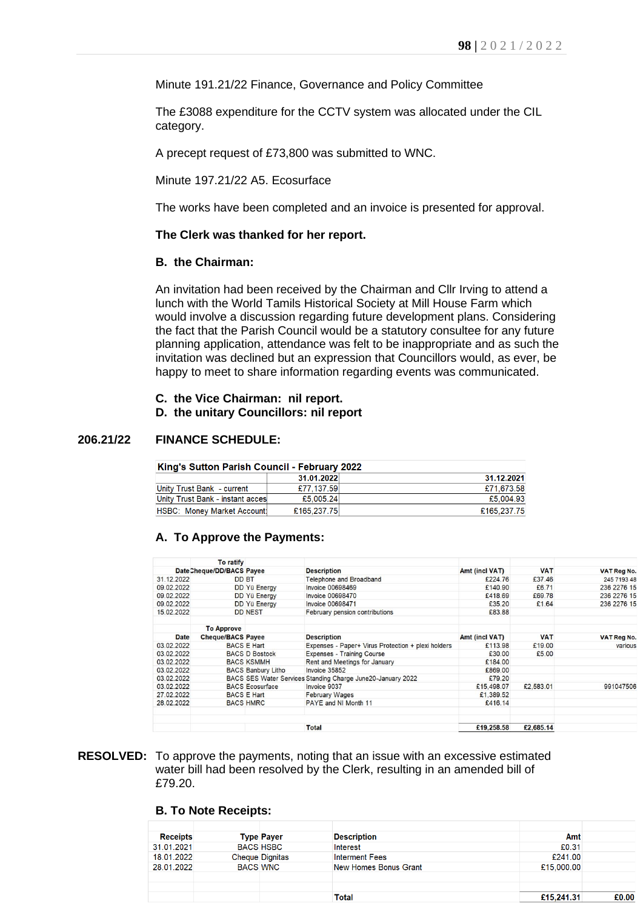Minute 191.21/22 Finance, Governance and Policy Committee

The £3088 expenditure for the CCTV system was allocated under the CIL category.

A precept request of £73,800 was submitted to WNC.

Minute 197.21/22 A5. Ecosurface

The works have been completed and an invoice is presented for approval.

#### **The Clerk was thanked for her report.**

#### **B. the Chairman:**

An invitation had been received by the Chairman and Cllr Irving to attend a lunch with the World Tamils Historical Society at Mill House Farm which would involve a discussion regarding future development plans. Considering the fact that the Parish Council would be a statutory consultee for any future planning application, attendance was felt to be inappropriate and as such the invitation was declined but an expression that Councillors would, as ever, be happy to meet to share information regarding events was communicated.

- **C. the Vice Chairman: nil report.**
- **D. the unitary Councillors: nil report**

#### **206.21/22 FINANCE SCHEDULE:**

| King's Sutton Parish Council - February 2022 |             |             |  |  |
|----------------------------------------------|-------------|-------------|--|--|
|                                              | 31.01.2022  | 31.12.2021  |  |  |
| Unity Trust Bank - current                   | £77.137.59  | £71.673.58  |  |  |
| Unity Trust Bank - instant acces             | £5,005.24   | £5,004.93   |  |  |
| <b>HSBC: Money Market Account!</b>           | £165,237,75 | £165,237.75 |  |  |

#### **A. To Approve the Payments:**

|             | <b>To ratify</b>          |                           |                                                             |                |            |                    |
|-------------|---------------------------|---------------------------|-------------------------------------------------------------|----------------|------------|--------------------|
|             | Date Cheque/DD/BACS Payee |                           | <b>Description</b>                                          | Amt (incl VAT) | <b>VAT</b> | <b>VAT Reg No.</b> |
| 31.12.2022  |                           | <b>DD BT</b>              | <b>Telephone and Broadband</b>                              | £224.76        | £37.46     | 245 7193 48        |
| 09.02.2022  |                           | DD Yü Energy              | <b>Invoice 00698469</b>                                     | £140.90        | £6.71      | 236 2276 15        |
| 09.02.2022  |                           | <b>DD Yü Energy</b>       | <b>Invoice 00698470</b>                                     | £418.69        | £69.78     | 236 2276 15        |
| 09.02.2022  |                           | DD Yü Energy              | <b>Invoice 00698471</b>                                     | £35.20         | £1.64      | 236 2276 15        |
| 15.02.2022  |                           | <b>DD NEST</b>            | February pension contributions                              | £83.88         |            |                    |
|             | <b>To Approve</b>         |                           |                                                             |                |            |                    |
| <b>Date</b> | <b>Cheque/BACS Payee</b>  |                           | <b>Description</b>                                          | Amt (incl VAT) | <b>VAT</b> | <b>VAT Reg No.</b> |
| 03.02.2022  |                           | <b>BACS E Hart</b>        | Expenses - Paper+ Virus Protection + plexi holders          | £113.98        | £19.00     | various            |
| 03.02.2022  |                           | <b>BACS D Bostock</b>     | <b>Expenses - Training Course</b>                           | £30.00         | £5.00      |                    |
| 03.02.2022  |                           | <b>BACS KSMMH</b>         | Rent and Meetings for January                               | £184.00        |            |                    |
| 03.02.2022  |                           | <b>BACS Banbury Litho</b> | Invoice 35852                                               | £869.00        |            |                    |
| 03.02.2022  |                           |                           | BACS SES Water Services Standing Charge June20-January 2022 | £79.20         |            |                    |
| 03.02.2022  |                           | <b>BACS Ecosurface</b>    | Invoice 9037                                                | £15,498.07     | £2,583.01  | 991047506          |
| 27.02.2022  |                           | <b>BACS E Hart</b>        | <b>February Wages</b>                                       | £1,389.52      |            |                    |
| 28.02.2022  |                           | <b>BACS HMRC</b>          | PAYE and NI Month 11                                        | £416.14        |            |                    |
|             |                           |                           | <b>Total</b>                                                | £19,258.58     | £2,685.14  |                    |

#### **RESOLVED:** To approve the payments, noting that an issue with an excessive estimated water bill had been resolved by the Clerk, resulting in an amended bill of £79.20.

#### **B. To Note Receipts:**

| <b>Receipts</b> |                 | <b>Type Payer</b>      | <b>Description</b>    | Amt        |       |
|-----------------|-----------------|------------------------|-----------------------|------------|-------|
| 31.01.2021      |                 | <b>BACS HSBC</b>       | Interest              | £0.31      |       |
| 18.01.2022      |                 | <b>Cheque Dignitas</b> | <b>Interment Fees</b> | £241.00    |       |
| 28.01.2022      | <b>BACS WNC</b> |                        | New Homes Bonus Grant | £15,000.00 |       |
|                 |                 |                        |                       |            |       |
|                 |                 |                        |                       |            |       |
|                 |                 |                        | Total                 | £15,241.31 | £0.00 |
|                 |                 |                        |                       |            |       |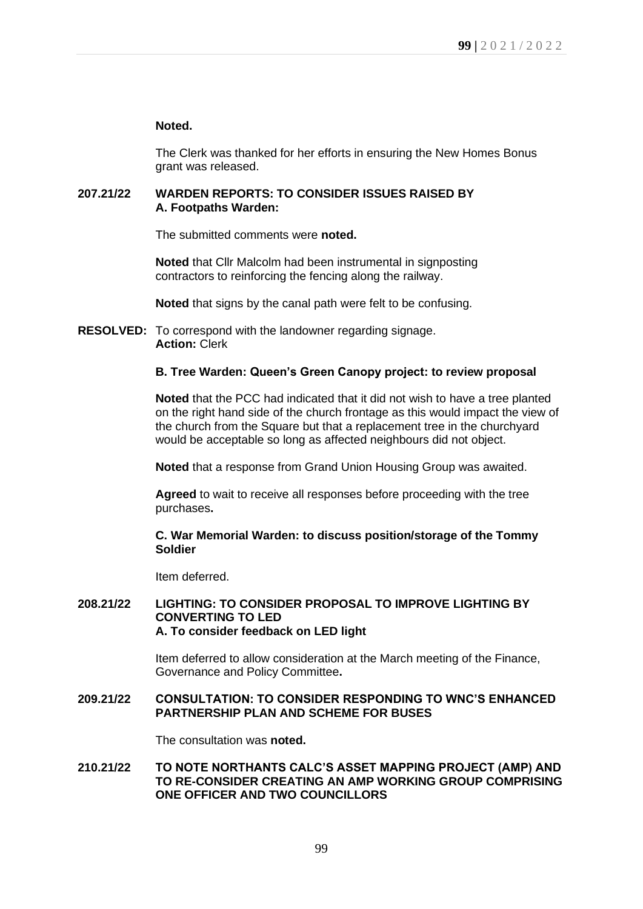# **Noted.**

The Clerk was thanked for her efforts in ensuring the New Homes Bonus grant was released.

# **207.21/22 WARDEN REPORTS: TO CONSIDER ISSUES RAISED BY A. Footpaths Warden:**

The submitted comments were **noted.**

**Noted** that Cllr Malcolm had been instrumental in signposting contractors to reinforcing the fencing along the railway.

**Noted** that signs by the canal path were felt to be confusing.

**RESOLVED:** To correspond with the landowner regarding signage. **Action:** Clerk

# **B. Tree Warden: Queen's Green Canopy project: to review proposal**

**Noted** that the PCC had indicated that it did not wish to have a tree planted on the right hand side of the church frontage as this would impact the view of the church from the Square but that a replacement tree in the churchyard would be acceptable so long as affected neighbours did not object.

**Noted** that a response from Grand Union Housing Group was awaited.

**Agreed** to wait to receive all responses before proceeding with the tree purchases**.**

## **C. War Memorial Warden: to discuss position/storage of the Tommy Soldier**

Item deferred.

# **208.21/22 LIGHTING: TO CONSIDER PROPOSAL TO IMPROVE LIGHTING BY CONVERTING TO LED A. To consider feedback on LED light**

Item deferred to allow consideration at the March meeting of the Finance, Governance and Policy Committee**.**

## **209.21/22 CONSULTATION: TO CONSIDER RESPONDING TO WNC'S ENHANCED PARTNERSHIP PLAN AND SCHEME FOR BUSES**

The consultation was **noted.**

### **210.21/22 TO NOTE NORTHANTS CALC'S ASSET MAPPING PROJECT (AMP) AND TO RE-CONSIDER CREATING AN AMP WORKING GROUP COMPRISING ONE OFFICER AND TWO COUNCILLORS**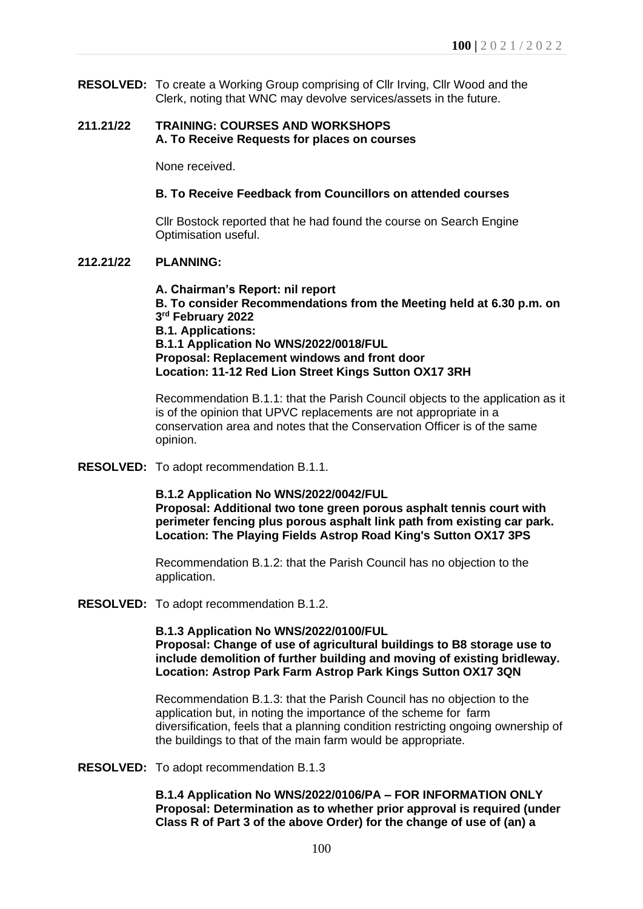**RESOLVED:** To create a Working Group comprising of Cllr Irving, Cllr Wood and the Clerk, noting that WNC may devolve services/assets in the future.

## **211.21/22 TRAINING: COURSES AND WORKSHOPS A. To Receive Requests for places on courses**

None received.

### **B. To Receive Feedback from Councillors on attended courses**

Cllr Bostock reported that he had found the course on Search Engine Optimisation useful.

## **212.21/22 PLANNING:**

**A. Chairman's Report: nil report B. To consider Recommendations from the Meeting held at 6.30 p.m. on 3 rd February 2022 B.1. Applications: B.1.1 Application No WNS/2022/0018/FUL Proposal: Replacement windows and front door Location: 11-12 Red Lion Street Kings Sutton OX17 3RH**

Recommendation B.1.1: that the Parish Council objects to the application as it is of the opinion that UPVC replacements are not appropriate in a conservation area and notes that the Conservation Officer is of the same opinion.

**RESOLVED:** To adopt recommendation B.1.1.

#### **B.1.2 Application No WNS/2022/0042/FUL**

**Proposal: Additional two tone green porous asphalt tennis court with perimeter fencing plus porous asphalt link path from existing car park. Location: The Playing Fields Astrop Road King's Sutton OX17 3PS**

Recommendation B.1.2: that the Parish Council has no objection to the application.

**RESOLVED:** To adopt recommendation B.1.2.

**B.1.3 Application No WNS/2022/0100/FUL Proposal: Change of use of agricultural buildings to B8 storage use to include demolition of further building and moving of existing bridleway. Location: Astrop Park Farm Astrop Park Kings Sutton OX17 3QN**

Recommendation B.1.3: that the Parish Council has no objection to the application but, in noting the importance of the scheme for farm diversification, feels that a planning condition restricting ongoing ownership of the buildings to that of the main farm would be appropriate.

**RESOLVED:** To adopt recommendation B.1.3

**B.1.4 Application No WNS/2022/0106/PA – FOR INFORMATION ONLY Proposal: Determination as to whether prior approval is required (under Class R of Part 3 of the above Order) for the change of use of (an) a**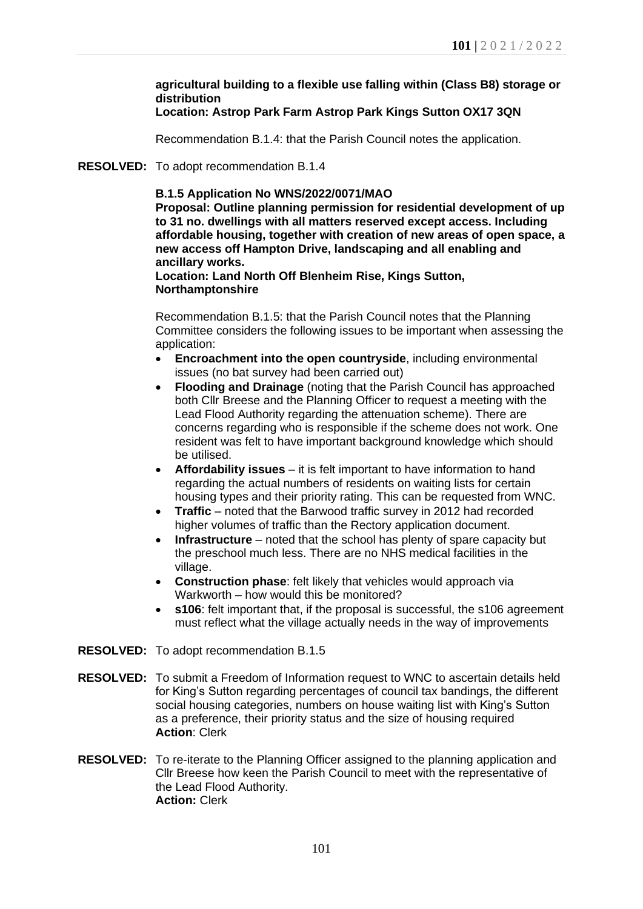# **agricultural building to a flexible use falling within (Class B8) storage or distribution**

# **Location: Astrop Park Farm Astrop Park Kings Sutton OX17 3QN**

Recommendation B.1.4: that the Parish Council notes the application.

## **RESOLVED:** To adopt recommendation B.1.4

## **B.1.5 Application No WNS/2022/0071/MAO**

**Proposal: Outline planning permission for residential development of up to 31 no. dwellings with all matters reserved except access. Including affordable housing, together with creation of new areas of open space, a new access off Hampton Drive, landscaping and all enabling and ancillary works.**

### **Location: Land North Off Blenheim Rise, Kings Sutton, Northamptonshire**

Recommendation B.1.5: that the Parish Council notes that the Planning Committee considers the following issues to be important when assessing the application:

- **Encroachment into the open countryside**, including environmental issues (no bat survey had been carried out)
- **Flooding and Drainage** (noting that the Parish Council has approached both Cllr Breese and the Planning Officer to request a meeting with the Lead Flood Authority regarding the attenuation scheme). There are concerns regarding who is responsible if the scheme does not work. One resident was felt to have important background knowledge which should be utilised.
- **Affordability issues** it is felt important to have information to hand regarding the actual numbers of residents on waiting lists for certain housing types and their priority rating. This can be requested from WNC.
- **Traffic** noted that the Barwood traffic survey in 2012 had recorded higher volumes of traffic than the Rectory application document.
- **Infrastructure** noted that the school has plenty of spare capacity but the preschool much less. There are no NHS medical facilities in the village.
- **Construction phase**: felt likely that vehicles would approach via Warkworth – how would this be monitored?
- **s106**: felt important that, if the proposal is successful, the s106 agreement must reflect what the village actually needs in the way of improvements
- **RESOLVED:** To adopt recommendation B.1.5
- **RESOLVED:** To submit a Freedom of Information request to WNC to ascertain details held for King's Sutton regarding percentages of council tax bandings, the different social housing categories, numbers on house waiting list with King's Sutton as a preference, their priority status and the size of housing required **Action**: Clerk
- **RESOLVED:** To re-iterate to the Planning Officer assigned to the planning application and Cllr Breese how keen the Parish Council to meet with the representative of the Lead Flood Authority. **Action:** Clerk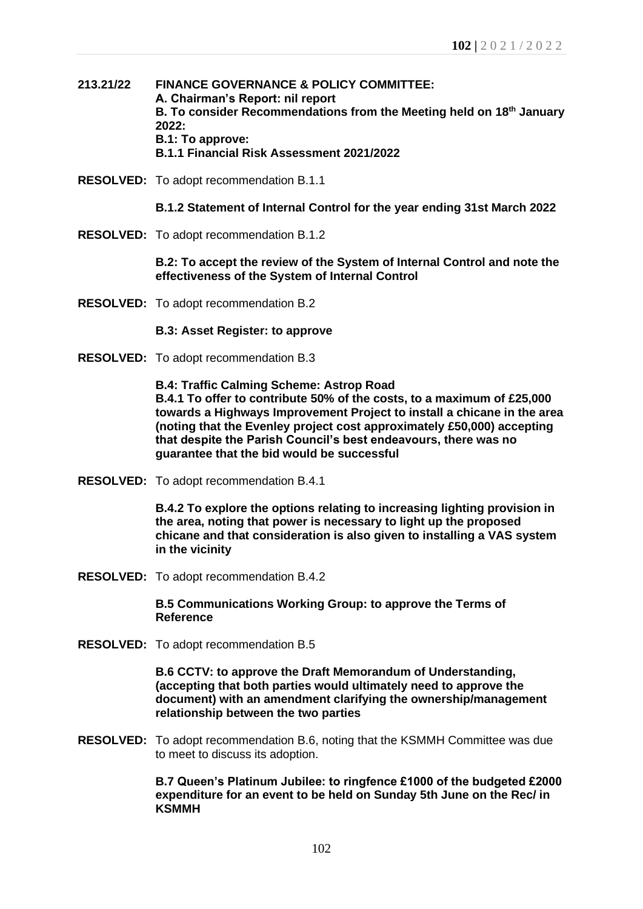- **213.21/22 FINANCE GOVERNANCE & POLICY COMMITTEE: A. Chairman's Report: nil report B. To consider Recommendations from the Meeting held on 18th January 2022: B.1: To approve: B.1.1 Financial Risk Assessment 2021/2022**
- **RESOLVED:** To adopt recommendation B.1.1
	- **B.1.2 Statement of Internal Control for the year ending 31st March 2022**
- **RESOLVED:** To adopt recommendation B.1.2

**B.2: To accept the review of the System of Internal Control and note the effectiveness of the System of Internal Control**

**RESOLVED:** To adopt recommendation B.2

#### **B.3: Asset Register: to approve**

**RESOLVED:** To adopt recommendation B.3

**B.4: Traffic Calming Scheme: Astrop Road B.4.1 To offer to contribute 50% of the costs, to a maximum of £25,000 towards a Highways Improvement Project to install a chicane in the area (noting that the Evenley project cost approximately £50,000) accepting that despite the Parish Council's best endeavours, there was no guarantee that the bid would be successful**

**RESOLVED:** To adopt recommendation B.4.1

**B.4.2 To explore the options relating to increasing lighting provision in the area, noting that power is necessary to light up the proposed chicane and that consideration is also given to installing a VAS system in the vicinity**

**RESOLVED:** To adopt recommendation B.4.2

**B.5 Communications Working Group: to approve the Terms of Reference**

**RESOLVED:** To adopt recommendation B.5

**B.6 CCTV: to approve the Draft Memorandum of Understanding, (accepting that both parties would ultimately need to approve the document) with an amendment clarifying the ownership/management relationship between the two parties**

**RESOLVED:** To adopt recommendation B.6, noting that the KSMMH Committee was due to meet to discuss its adoption.

> **B.7 Queen's Platinum Jubilee: to ringfence £1000 of the budgeted £2000 expenditure for an event to be held on Sunday 5th June on the Rec/ in KSMMH**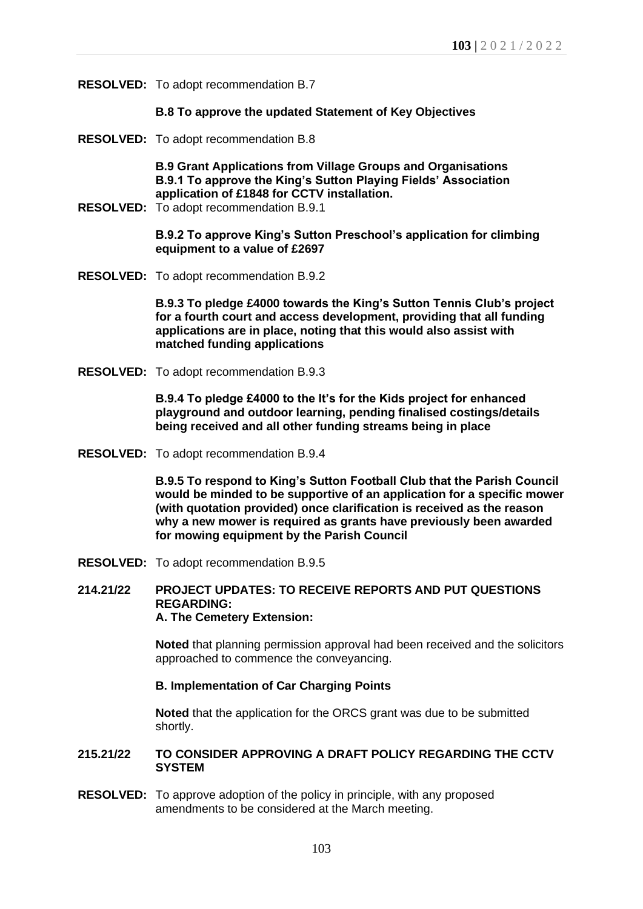**RESOLVED:** To adopt recommendation B.7

#### **B.8 To approve the updated Statement of Key Objectives**

**RESOLVED:** To adopt recommendation B.8

**B.9 Grant Applications from Village Groups and Organisations B.9.1 To approve the King's Sutton Playing Fields' Association application of £1848 for CCTV installation.**

**RESOLVED:** To adopt recommendation B.9.1

**B.9.2 To approve King's Sutton Preschool's application for climbing equipment to a value of £2697**

**RESOLVED:** To adopt recommendation B.9.2

**B.9.3 To pledge £4000 towards the King's Sutton Tennis Club's project for a fourth court and access development, providing that all funding applications are in place, noting that this would also assist with matched funding applications**

**RESOLVED:** To adopt recommendation B.9.3

**B.9.4 To pledge £4000 to the It's for the Kids project for enhanced playground and outdoor learning, pending finalised costings/details being received and all other funding streams being in place** 

**RESOLVED:** To adopt recommendation B.9.4

**B.9.5 To respond to King's Sutton Football Club that the Parish Council would be minded to be supportive of an application for a specific mower (with quotation provided) once clarification is received as the reason why a new mower is required as grants have previously been awarded for mowing equipment by the Parish Council**

**RESOLVED:** To adopt recommendation B.9.5

**214.21/22 PROJECT UPDATES: TO RECEIVE REPORTS AND PUT QUESTIONS REGARDING: A. The Cemetery Extension:** 

> **Noted** that planning permission approval had been received and the solicitors approached to commence the conveyancing.

#### **B. Implementation of Car Charging Points**

**Noted** that the application for the ORCS grant was due to be submitted shortly.

#### **215.21/22 TO CONSIDER APPROVING A DRAFT POLICY REGARDING THE CCTV SYSTEM**

**RESOLVED:** To approve adoption of the policy in principle, with any proposed amendments to be considered at the March meeting.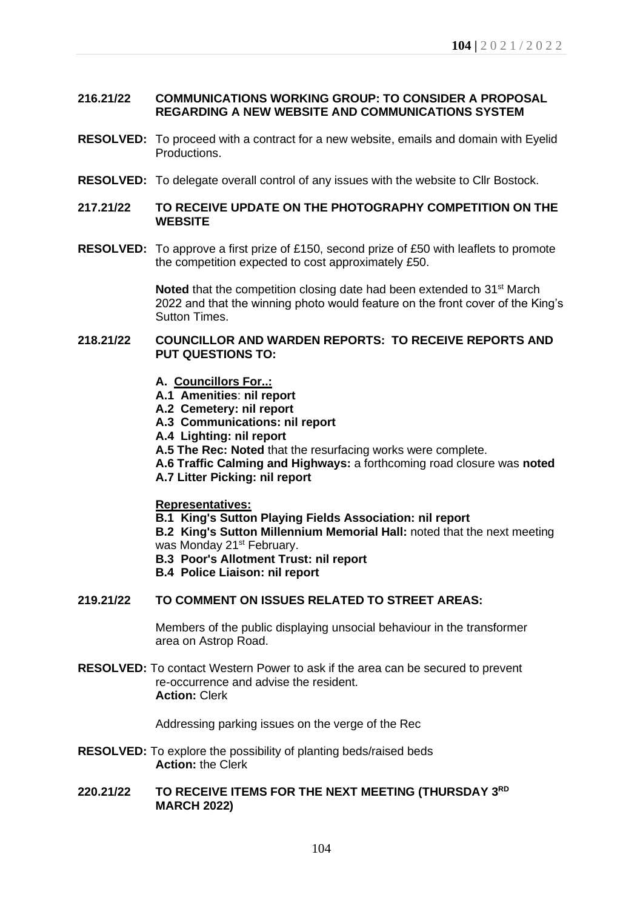# **216.21/22 COMMUNICATIONS WORKING GROUP: TO CONSIDER A PROPOSAL REGARDING A NEW WEBSITE AND COMMUNICATIONS SYSTEM**

- **RESOLVED:** To proceed with a contract for a new website, emails and domain with Eyelid Productions.
- **RESOLVED:** To delegate overall control of any issues with the website to Cllr Bostock.

# **217.21/22 TO RECEIVE UPDATE ON THE PHOTOGRAPHY COMPETITION ON THE WEBSITE**

**RESOLVED:** To approve a first prize of £150, second prize of £50 with leaflets to promote the competition expected to cost approximately £50.

> **Noted** that the competition closing date had been extended to 31<sup>st</sup> March 2022 and that the winning photo would feature on the front cover of the King's Sutton Times.

## **218.21/22 COUNCILLOR AND WARDEN REPORTS: TO RECEIVE REPORTS AND PUT QUESTIONS TO:**

- **A. Councillors For..:**
- **A.1 Amenities**: **nil report**
- **A.2 Cemetery: nil report**
- **A.3 Communications: nil report**
- **A.4 Lighting: nil report**
- **A.5 The Rec: Noted** that the resurfacing works were complete.
- **A.6 Traffic Calming and Highways:** a forthcoming road closure was **noted**
- **A.7 Litter Picking: nil report**

#### **Representatives:**

- **B.1 King's Sutton Playing Fields Association: nil report**
- **B.2 King's Sutton Millennium Memorial Hall:** noted that the next meeting was Monday 21<sup>st</sup> February.
- **B.3 Poor's Allotment Trust: nil report**
- **B.4 Police Liaison: nil report**

## **219.21/22 TO COMMENT ON ISSUES RELATED TO STREET AREAS:**

Members of the public displaying unsocial behaviour in the transformer area on Astrop Road.

**RESOLVED:** To contact Western Power to ask if the area can be secured to prevent re-occurrence and advise the resident. **Action:** Clerk

Addressing parking issues on the verge of the Rec

**RESOLVED:** To explore the possibility of planting beds/raised beds **Action:** the Clerk

## **220.21/22 TO RECEIVE ITEMS FOR THE NEXT MEETING (THURSDAY 3 RD MARCH 2022)**